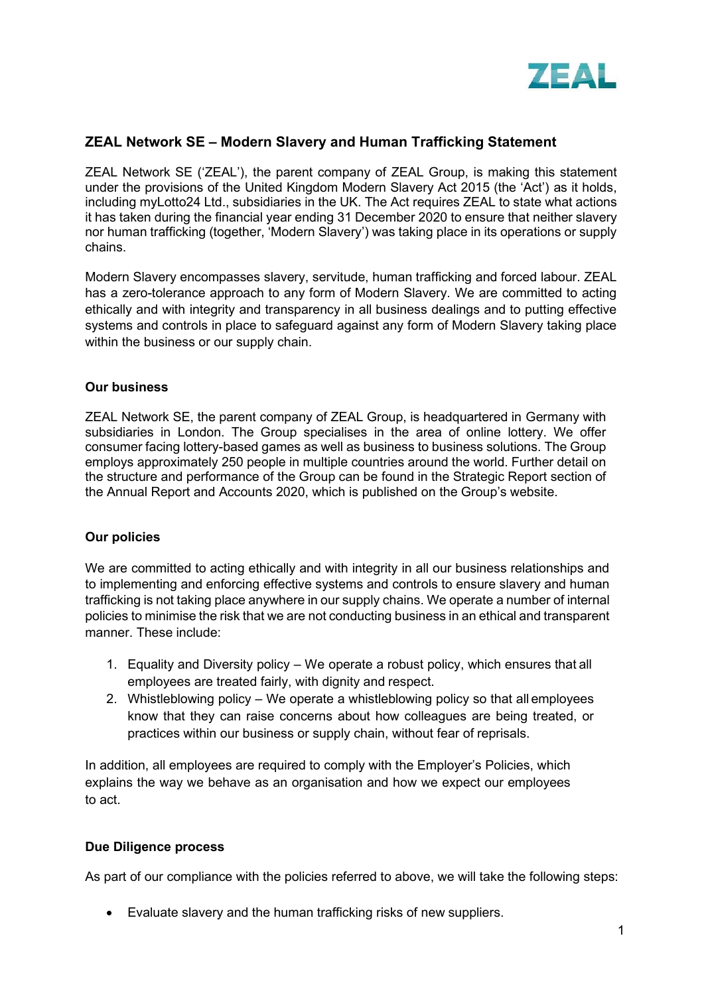

# **ZEAL Network SE – Modern Slavery and Human Trafficking Statement**

ZEAL Network SE ('ZEAL'), the parent company of ZEAL Group, is making this statement under the provisions of the United Kingdom Modern Slavery Act 2015 (the 'Act') as it holds, including myLotto24 Ltd., subsidiaries in the UK. The Act requires ZEAL to state what actions it has taken during the financial year ending 31 December 2020 to ensure that neither slavery nor human trafficking (together, 'Modern Slavery') was taking place in its operations or supply chains.

Modern Slavery encompasses slavery, servitude, human trafficking and forced labour. ZEAL has a zero-tolerance approach to any form of Modern Slavery. We are committed to acting ethically and with integrity and transparency in all business dealings and to putting effective systems and controls in place to safeguard against any form of Modern Slavery taking place within the business or our supply chain.

### **Our business**

ZEAL Network SE, the parent company of ZEAL Group, is headquartered in Germany with subsidiaries in London. The Group specialises in the area of online lottery. We offer consumer facing lottery-based games as well as business to business solutions. The Group employs approximately 250 people in multiple countries around the world. Further detail on the structure and performance of the Group can be found in the Strategic Report section of the Annual Report and Accounts 2020, which is published on the Group's website.

### **Our policies**

We are committed to acting ethically and with integrity in all our business relationships and to implementing and enforcing effective systems and controls to ensure slavery and human trafficking is not taking place anywhere in our supply chains. We operate a number of internal policies to minimise the risk that we are not conducting business in an ethical and transparent manner. These include:

- 1. Equality and Diversity policy We operate a robust policy, which ensures that all employees are treated fairly, with dignity and respect.
- 2. Whistleblowing policy We operate a whistleblowing policy so that all employees know that they can raise concerns about how colleagues are being treated, or practices within our business or supply chain, without fear of reprisals.

In addition, all employees are required to comply with the Employer's Policies, which explains the way we behave as an organisation and how we expect our employees to act.

### **Due Diligence process**

As part of our compliance with the policies referred to above, we will take the following steps:

• Evaluate slavery and the human trafficking risks of new suppliers.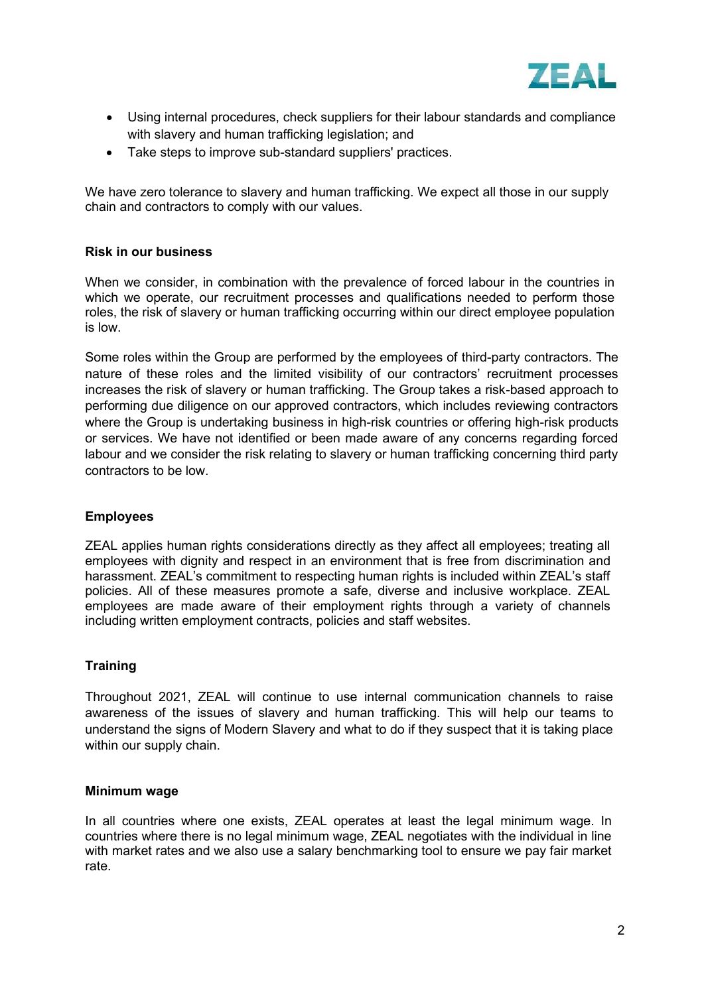

- Using internal procedures, check suppliers for their labour standards and compliance with slavery and human trafficking legislation; and
- Take steps to improve sub-standard suppliers' practices.

We have zero tolerance to slavery and human trafficking. We expect all those in our supply chain and contractors to comply with our values.

# **Risk in our business**

When we consider, in combination with the prevalence of forced labour in the countries in which we operate, our recruitment processes and qualifications needed to perform those roles, the risk of slavery or human trafficking occurring within our direct employee population is low.

Some roles within the Group are performed by the employees of third-party contractors. The nature of these roles and the limited visibility of our contractors' recruitment processes increases the risk of slavery or human trafficking. The Group takes a risk-based approach to performing due diligence on our approved contractors, which includes reviewing contractors where the Group is undertaking business in high-risk countries or offering high-risk products or services. We have not identified or been made aware of any concerns regarding forced labour and we consider the risk relating to slavery or human trafficking concerning third party contractors to be low.

### **Employees**

ZEAL applies human rights considerations directly as they affect all employees; treating all employees with dignity and respect in an environment that is free from discrimination and harassment. ZEAL's commitment to respecting human rights is included within ZEAL's staff policies. All of these measures promote a safe, diverse and inclusive workplace. ZEAL employees are made aware of their employment rights through a variety of channels including written employment contracts, policies and staff websites.

### **Training**

Throughout 2021, ZEAL will continue to use internal communication channels to raise awareness of the issues of slavery and human trafficking. This will help our teams to understand the signs of Modern Slavery and what to do if they suspect that it is taking place within our supply chain.

#### **Minimum wage**

In all countries where one exists, ZEAL operates at least the legal minimum wage. In countries where there is no legal minimum wage, ZEAL negotiates with the individual in line with market rates and we also use a salary benchmarking tool to ensure we pay fair market rate.